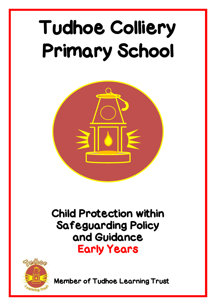# Tudhoe Colliery Primary School



# Child Protection within Safeguarding Policy and Guidance Early Years



**Member of Tudhoe Learning Trust**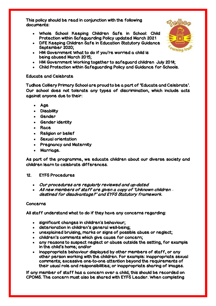This policy should be read in conjunction with the following documents:

- Whole School Keeping Children Safe in School: Child Protection within Safeguarding Policy updated March 2021
- DFE Keeping Children Safe in Education Statutory Guidance September 2020;
- HM Government What to do if you're worried a child is being abused March 2015;
- HM Government Working together to safeguard children July 2018;
- Child Protection within Safeguarding Policy and Guidance for Schools.

# Educate and Celebrate

Tudhoe Colliery Primary School are proud to be a part of 'Educate and Celebrate'. Our school does not tolerate any types of discrimination, which include acts against anyone due to their:

- Age
- **Disability**
- Gender
- Gender identity
- Race
- Religion or belief
- Sexual orientation
- Pregnancy and Maternity
- Marriage.

As part of the programme, we educate children about our diverse society and children learn to celebrate differences.

# 12. EYFS Procedures

- Our procedures are regularly reviewed and up-dated
- All new members of staff are given a copy of 'Unknown children *–* destined for disadvantage?' and EYFS Statutory framework.

# Concerns

All staff understand what to do if they have any concerns regarding:

- significant changes in children's behaviour;
- deterioration in children's general well-being;
- unexplained bruising, marks or signs of possible abuse or neglect;
- children's comments which give cause for concern;
- any reasons to suspect neglect or abuse outside the setting, for example in the child's home; and/or
- inappropriate behaviour displayed by other members of staff, or any other person working with the children. For example: inappropriate sexual comments; excessive one-to-one attention beyond the requirements of their usual role and responsibilities; or inappropriate sharing of images.

If any member of staff has a concern over a child, this should be recorded on CPOMS. The concern must also be shared with EYFS Leader. When completing

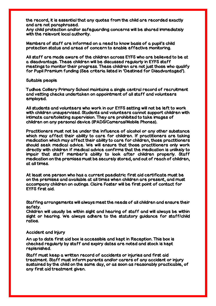the record, it is essential that any quotes from the child are recorded exactly and are not paraphrased.

Any child protection and/or safeguarding concerns will be shared immediately with the relevant local authority.

Members of staff are informed on a need to know basis of a pupil's child protection status and areas of concern to enable effective monitoring.

All staff are made aware of the children across EYFS who are believed to be at a disadvantage. These children will be discussed regularly in EYFS staff meetings to monitor their progress. These children are not just those who qualify for Pupil Premium funding (See criteria listed in 'Destined for Disadvantaged').

#### Suitable people

Tudhoe Colliery Primary School maintains a single central record of recruitment and vetting checks undertaken on appointment of all staff and volunteers employed.

All students and volunteers who work in our EYFS setting will not be left to work with children unsupervised. Students and volunteers cannot support children with intimate care/toileting supervision. They are prohibited to take images of children on any personal device (IPADS/Cameras/Mobile Phones).

Practitioners must not be under the influence of alcohol or any other substance which may affect their ability to care for children. If practitioners are taking medication which may affect their ability to care for children, those practitioners should seek medical advice. We will ensure that those practitioners only work directly with children if medical advice confirms that the medication is unlikely to impair that staff member's ability to look after children properly. Staff medication on the premises must be securely stored, and out of reach of children, at all times.

At least one person who has a current paediatric first aid certificate must be on the premises and available at all times when children are present, and must accompany children on outings. Claire Foster will be first point of contact for EYFS first aid.

Staffing arrangements will always meet the needs of all children and ensure their safety.

Children will usually be within sight and hearing of staff and will always be within sight or hearing. We always adhere to the statutory guidance for staff/child ratios.

#### Accident and Injury

An up to date first aid box is accessible and kept in Reception. This box is checked regularly by staff and expiry dates are noted and stock is kept replenished.

Staff must keep a written record of accidents or injuries and first aid treatment. Staff must inform parents and/or carers of any accident or injury sustained by the child on the same day, or as soon as reasonably practicable, of any first aid treatment given.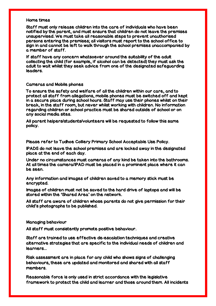### Home times

Staff must only release children into the care of individuals who have been notified by the parent, and must ensure that children do not leave the premises unsupervised. We must take all reasonable steps to prevent unauthorised persons entering the premises; all visitors must report to the school office to sign in and cannot be left to walk through the school premises unaccompanied by a member of staff.

If staff have any concern whatsoever around the suitability of the adult collecting the child (for example, if alcohol can be detected) they must ask the adult to wait whilst they seek advice from one of the designated safeguarding leaders.

#### Cameras and Mobile phones

To ensure the safety and welfare of all the children within our care, and to protect all staff from allegations, mobile phones must be switched off and kept in a secure place during school hours. Staff may use their phones whilst on their break, in the staff room, but never whilst working with children. No information regarding children or school practice must be shared outside of school or on any social media sites.

All parent helpers/students/volunteers will be requested to follow this same policy.

Please refer to Tudhoe Colliery Primary School Acceptable Use Policy.

IPADS do not leave the school premises and are locked away in the designated place at the end of each day.

Under no circumstances must cameras of any kind be taken into the bathrooms. At all times the camera/IPAD must be placed in a prominent place where it can be seen.

Any information and images of children saved to a memory stick must be encrypted.

Images of children must not be saved to the hard drive of laptops and will be stored within the 'Shared Area' on the network.

All staff are aware of children whose parents do not give permission for their child's photographs to be published.

Managing behaviour

All staff must consistently promote positive behaviour.

Staff are trained to use effective de-escalation techniques and creative alternative strategies that are specific to the individual needs of children and learners...

Risk assessment are in place for any child who shows signs of challenging behaviours, these are updated and monitored and shared with all staff members.

Reasonable force is only used in strict accordance with the legislative framework to protect the child and learner and those around them. All incidents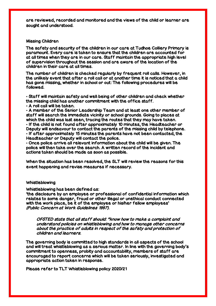are reviewed, recorded and monitored and the views of the child or learner are sought and understood.

#### Missing Children

The safety and security of the children in our care at Tudhoe Colliery Primary is paramount. Every care is taken to ensure that the children are accounted for at all times when they are in our care. Staff maintain the appropriate high level of supervision throughout the session and are aware of the location of the children in their care at all times.

The number of children is checked regularly by frequent roll calls. However, in the unlikely event that after a roll call or at another time it is noticed that a child has gone missing, whether in school or out: The following procedures will be followed.

• Staff will maintain safety and well‐being of other children and check whether the missing child has another commitment with the office staff.

• A roll call will be taken.

• A member of the Senior Leadership Team and at least one other member of staff will search the immediate vicinity or school grounds. Going to places at which the child was last seen, tracing the routes that they may have taken. • If the child is not found after approximately 10 minutes, the Headteacher or Deputy will endeavour to contact the parents of the missing child by telephone. • If after approximately 15 minutes the parents have not been contacted, the Headteacher or Deputy will contact the police.

• Once police arrive all relevant information about the child will be given. The police will then take over the search. A written record of the incident and actions taken should be made as soon as possible.

When the situation has been resolved, the SLT will review the reasons for this event happening and revise measures if necessary.

#### Whistleblowing

Whistleblowing has been defined as:

'the disclosure by an employee or professional of confidential information which relates to some danger, fraud or other illegal or unethical conduct connected with the work place, be it of the employee or his/her fellow employees' (Public Concern at Work Guidelines 1997).

OFSTED state that all staff should: "know how to make a complaint and understand policies on whistleblowing and how to manage other concerns about the practice of adults in respect of the safety and protection of children and learners.

The governing body is committed to high standards in all aspects of the school and will treat whistleblowing as a serious matter. In line with the governing body's commitment to openness, probity and accountability, members of staff are encouraged to report concerns which will be taken seriously, investigated and appropriate action taken in response.

Please refer to TLT Whistleblowing policy 2020/21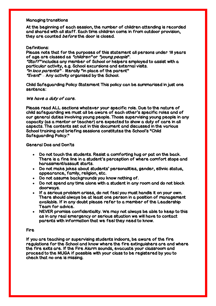### Managing transitions

At the beginning of each session, the number of children attending is recorded and shared with all staff. Each time children come in from outdoor provision, they are counted *before* the door is closed.

## Definitions:

Please note that for the purposes of this statement all persons under 18 years of age are classed as "children" or "young people". "Staff" includes any member of School or helpers employed to assist with a particular activity, e.g. School excursions and external visits.  $\tilde{f}''$ in loco parentis $\tilde{f}''$  – literally "in place of the parent"

"Event" – Any activity organised by the School.

Child Safeguarding Policy Statement This policy can be summarised in just one sentence:

# We have a duty of care.

Please read ALL sections whatever your specific role. Due to the nature of child safeguarding we must all be aware of each other's specific roles and of our general duties involving young people. Those supervising young people in any capacity (as a mentor or teacher) are expected to show a duty of care in all aspects. The contents set out in this document and discussed in the various School training and briefing sessions constitutes the School's "Child Safeguarding Policy."

# General Dos and Don'ts

- Do not touch the students. Resist a comforting hug or pat on the back. There is a fine line in a student's perception of where comfort stops and harassment/assault starts.
- Do not make jokes about students' personalities, gender, ethnic status, appearance, family, religion, etc.
- Do not assume backgrounds you know nothing of.
- Do not spend any time alone with a student in any room and do not block doorways.
- If a serious problem arises, do not feel you must handle it on your own. There should always be at least one person in a position of management available. If in any doubt please refer to a member of the Leadership Team for advice.
- NEVER promise confidentiality. We may not always be able to keep to this as in any real emergency or serious situation we will have to contact parents with information that we feel they need to know.

#### Fire

If you are teaching or supervising students indoors, be aware of the fire regulations for the School and know where the fire extinguishers are and where the fire exits are. If the Fire Alarm sounds, evacuate your classroom and proceed to the MUGA if possible with your class to be registered by you to check that no one is missing.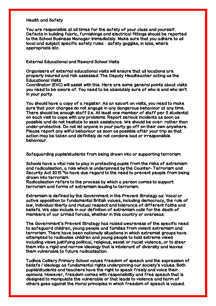#### Health and Safety

You are responsible at all times for the safety of your class and yourself. Defects in building fabric, furnishings and electrical fittings should be reported to the School Business Manager immediately. Make sure that you adhere to all local and subject specific safety rules – safety goggles, in labs, where appropriate etc.

# External Educational and Reward School Visits

Organisers of external educational visits will ensure that all locations are properly insured and risk assessed. The Deputy Headteacher acting as the Educational Visits

Coordinator (EVC) will assist with this. Here are some general points about visits you need to be aware of. You need to be absolutely sure of who is and who isn't in your party.

You should have a copy of a register. As an escort on visits, you need to make sure that your charges do not engage in any dangerous behaviour at any time. There should be enough staff (i.e. At least one member of staff per 5 students) on each visit to cope with any problems. Report serious incidents as soon as possible and do not hesitate to seek assistance. We should be over- rather than under-protective. Do not let anyone in your party go off on their own anywhere. Please report any wilful behaviour as soon as possible after your trip so that action may be taken and definitely do not condone bad or irresponsible behaviour.

Safeguarding pupils/students from being drawn into or supporting terrorism

Schools have a vital role to play in protecting pupils from the risks of extremism and radicalisation, a role which is underpinned by the Counter- Terrorism and Security Act 2015 "to have due regard to the need to prevent people from being drawn into terrorism.

Radicalisation refers to the process by which a person comes to support terrorism and forms of extremism leading to terrorism.

Extremism is defined by the Government in the Prevent Strategy as: Vocal or active opposition to fundamental British values, including democracy, the rule of law, individual liberty and mutual respect and tolerance of different faiths and beliefs. We also include in our definition of extremism calls for the death of members of our armed forces, whether in this country or overseas.

The Government's Prevent Strategy has raised awareness of the specific need to safeguard children, young people and families from violent extremism and terrorism. There have been nationally situations in which extremist groups have attempted to radicalise children and young people to hold extreme views including views justifying political, religious, sexist or racist violence, or to steer them into a rigid and narrow ideology that is intolerant of diversity and leaves them vulnerable to future radicalisation.

Tudhoe Colliery Primary School values freedom of speech and the expression of beliefs / ideology as fundamental rights underpinning our society's values. Both pupils/students and teachers have the right to speak freely and voice their opinions. However, freedom comes with responsibility and free speech that is designed to manipulate the vulnerable or that leads to violence and harm of others goes against the moral principles in which freedom of speech is valued.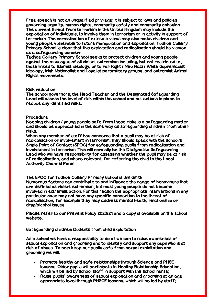Free speech is not an unqualified privilege; it is subject to laws and policies governing equality, human rights, community safety and community cohesion. The current threat from terrorism in the United Kingdom may include the exploitation of individuals, to involve them in terrorism or in activity in support of terrorism. The normalisation of extreme views may also make children and young people vulnerable to future manipulation and exploitation. Tudhoe Colliery Primary School is clear that this exploitation and radicalisation should be viewed as a safeguarding concern.

Tudhoe Colliery Primary School seeks to protect children and young people against the messages of all violent extremism including, but not restricted to, those linked to Islamist ideology, or to Far Right / Neo Nazi / White Supremacist ideology, Irish Nationalist and Loyalist paramilitary groups, and extremist Animal Rights movements.

#### Risk reduction

The school governors, the Head Teacher and the Designated Safeguarding Lead will assess the level of risk within the school and put actions in place to reduce any identified risks.

#### Procedure

Keeping children / young people safe from these risks is a safeguarding matter and should be approached in the same way as safeguarding children from other risks.

When any member of staff has concerns that a pupil may be at risk of radicalisation or involvement in terrorism, they should speak with the school's Single Point of Contact (SPOC) for safeguarding pupils from radicalisation and involvement in terrorism. This will normally be the Designated Safeguarding Lead who will have responsibility for assessing whether the pupil may be at risk of radicalisation, and where relevant, for referring the child to the Local Authority Channel Panel.

The SPOC for Tudhoe Colliery Primary School is Jim Smith Numerous factors can contribute to and influence the range of behaviours that are defined as violent extremism, but most young people do not become involved in extremist action. For this reason the appropriate interventions in any particular case may not have any specific connection to the threat of radicalisation, for example they may address mental health, relationship or drug/alcohol issues.

Please refer to our Prevent Policy 2020/21 and a copy is available on the school website.

Safeguarding children/students from child exploitation

As a school we have a responsibility to do all we can to raise awareness of sexual exploitation and grooming and to identify and support any pupil who is at risk of abuse. To help keep our pupils safe from sexual exploitation and grooming we will:

- Promote healthy and safe relationships through Science and PHSE lessons. Older pupils will participate in Healthy Relationship Education, which will be led by school staff in support with the school nurse;
- Raise pupils' awareness of sexual exploitation and grooming at an age appropriate level through PHSCE lessons, which will be led by staff;